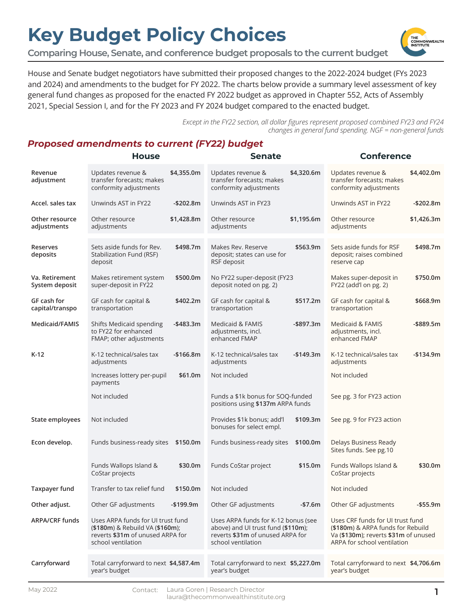**Comparing House, Senate, and conference budget proposals to the current budget**

House and Senate budget negotiators have submitted their proposed changes to the 2022-2024 budget (FYs 2023 and 2024) and amendments to the budget for FY 2022. The charts below provide a summary level assessment of key general fund changes as proposed for the enacted FY 2022 budget as approved in Chapter 552, Acts of Assembly 2021, Special Session I, and for the FY 2023 and FY 2024 budget compared to the enacted budget.

> *Except in the FY22 section, all dollar figures represent proposed combined FY23 and FY24 changes in general fund spending. NGF = non-general funds*

#### *Proposed amendments to current (FY22) budget*

|                                  | <b>House</b>                                                                                                                   |            | <b>Senate</b>                                                                                                                       |            | <b>Conference</b>                                                                                                                            |              |
|----------------------------------|--------------------------------------------------------------------------------------------------------------------------------|------------|-------------------------------------------------------------------------------------------------------------------------------------|------------|----------------------------------------------------------------------------------------------------------------------------------------------|--------------|
| Revenue<br>adjustment            | Updates revenue &<br>transfer forecasts; makes<br>conformity adjustments                                                       | \$4,355.0m | Updates revenue &<br>transfer forecasts; makes<br>conformity adjustments                                                            | \$4,320.6m | Updates revenue &<br>transfer forecasts; makes<br>conformity adjustments                                                                     | \$4,402.0m   |
| Accel. sales tax                 | Unwinds AST in FY22                                                                                                            | $-$202.8m$ | Unwinds AST in FY23                                                                                                                 |            | Unwinds AST in FY22                                                                                                                          | $-$202.8m$   |
| Other resource<br>adjustments    | Other resource<br>adjustments                                                                                                  | \$1,428.8m | Other resource<br>adjustments                                                                                                       | \$1,195.6m | Other resource<br>adjustments                                                                                                                | \$1,426.3m   |
| <b>Reserves</b><br>deposits      | Sets aside funds for Rev.<br>Stabilization Fund (RSF)<br>deposit                                                               | \$498.7m   | Makes Rev. Reserve<br>deposit; states can use for<br>RSF deposit                                                                    | \$563.9m   | Sets aside funds for RSF<br>deposit; raises combined<br>reserve cap                                                                          | \$498.7m     |
| Va. Retirement<br>System deposit | Makes retirement system<br>super-deposit in FY22                                                                               | \$500.0m   | No FY22 super-deposit (FY23<br>deposit noted on pg. 2)                                                                              |            | Makes super-deposit in<br>FY22 (add'l on pg. 2)                                                                                              | \$750.0m     |
| GF cash for<br>capital/transpo   | GF cash for capital &<br>transportation                                                                                        | \$402.2m   | GF cash for capital &<br>transportation                                                                                             | \$517.2m   | GF cash for capital &<br>transportation                                                                                                      | \$668.9m     |
| Medicaid/FAMIS                   | Shifts Medicaid spending<br>to FY22 for enhanced<br>FMAP; other adjustments                                                    | -\$483.3m  | Medicaid & FAMIS<br>adjustments, incl.<br>enhanced FMAP                                                                             | -\$897.3m  | <b>Medicaid &amp; FAMIS</b><br>adjustments, incl.<br>enhanced FMAP                                                                           | $-$ \$889.5m |
| $K-12$                           | K-12 technical/sales tax<br>adjustments                                                                                        | $-$166.8m$ | K-12 technical/sales tax<br>adjustments                                                                                             | -\$149.3m  | K-12 technical/sales tax<br>adjustments                                                                                                      | $-$134.9m$   |
|                                  | Increases lottery per-pupil<br>payments                                                                                        | \$61.0m    | Not included                                                                                                                        |            | Not included                                                                                                                                 |              |
|                                  | Not included                                                                                                                   |            | Funds a \$1k bonus for SOQ-funded<br>positions using \$137m ARPA funds                                                              |            | See pg. 3 for FY23 action                                                                                                                    |              |
| State employees                  | Not included                                                                                                                   |            | Provides \$1k bonus; add'l<br>bonuses for select empl.                                                                              | \$109.3m   | See pg. 9 for FY23 action                                                                                                                    |              |
| Econ develop.                    | Funds business-ready sites \$150.0m                                                                                            |            | Funds business-ready sites                                                                                                          | \$100.0m   | Delays Business Ready<br>Sites funds. See pg.10                                                                                              |              |
|                                  | Funds Wallops Island &<br>CoStar projects                                                                                      | \$30.0m    | Funds CoStar project                                                                                                                | \$15.0m    | Funds Wallops Island &<br>CoStar projects                                                                                                    | \$30.0m      |
| <b>Taxpayer fund</b>             | Transfer to tax relief fund                                                                                                    | \$150.0m   | Not included                                                                                                                        |            | Not included                                                                                                                                 |              |
| Other adjust.                    | Other GF adjustments                                                                                                           | $-$199.9m$ | Other GF adjustments                                                                                                                | $-$7.6m$   | Other GF adjustments                                                                                                                         | $-$ \$55.9m  |
| <b>ARPA/CRF funds</b>            | Uses ARPA funds for UI trust fund<br>(\$180m) & Rebuild VA (\$160m);<br>reverts \$31m of unused ARPA for<br>school ventilation |            | Uses ARPA funds for K-12 bonus (see<br>above) and UI trust fund (\$110m);<br>reverts \$31m of unused ARPA for<br>school ventilation |            | Uses CRF funds for UI trust fund<br>(\$180m) & ARPA funds for Rebuild<br>Va (\$130m); reverts \$31m of unused<br>ARPA for school ventilation |              |
| Carryforward                     | Total carryforward to next \$4,587.4m<br>year's budget                                                                         |            | Total carryforward to next \$5,227.0m<br>year's budget                                                                              |            | Total carryforward to next \$4,706.6m<br>year's budget                                                                                       |              |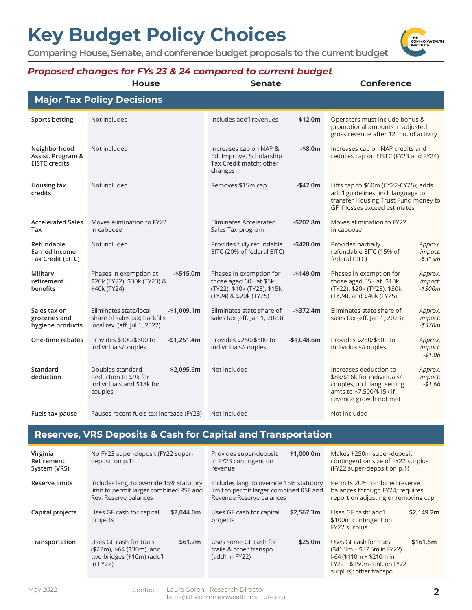**Comparing House, Senate, and conference budget proposals to the current budget**



#### *Proposed changes for FYs 23 & 24 compared to current budget*

|                                                           | Proposea cnanges for F1s 25 & 24 comparea to current buaget<br><b>House</b>                              | <b>Senate</b>                                                                                                                | <b>Conference</b>                                                                                                                                                                     |
|-----------------------------------------------------------|----------------------------------------------------------------------------------------------------------|------------------------------------------------------------------------------------------------------------------------------|---------------------------------------------------------------------------------------------------------------------------------------------------------------------------------------|
|                                                           | <b>Major Tax Policy Decisions</b>                                                                        |                                                                                                                              |                                                                                                                                                                                       |
|                                                           |                                                                                                          |                                                                                                                              |                                                                                                                                                                                       |
| <b>Sports betting</b>                                     | Not included                                                                                             | Includes add'l revenues<br>\$12.0m                                                                                           | Operators must include bonus &<br>promotional amounts in adjusted<br>gross revenue after 12 mo. of activity                                                                           |
| Neighborhood<br>Assist. Program &<br><b>EISTC credits</b> | Not included                                                                                             | $-$8.0m$<br>Increases cap on NAP &<br>Ed. Improve. Scholarship<br>Tax Credit match; other<br>changes                         | Increases cap on NAP credits and<br>reduces cap on EISTC (FY23 and FY24)                                                                                                              |
| Housing tax<br>credits                                    | Not included                                                                                             | Removes \$15m cap<br>$-$47.0m$                                                                                               | Lifts cap to \$60m (CY22-CY25); adds<br>add'l guidelines; incl. language to<br>transfer Housing Trust Fund money to<br>GF if losses exceed estimates                                  |
| <b>Accelerated Sales</b><br>Tax                           | Moves elimination to FY22<br>in caboose                                                                  | <b>Eliminates Accelerated</b><br>$-$202.8m$<br>Sales Tax program                                                             | Moves elimination to FY22<br>in caboose                                                                                                                                               |
| Refundable<br><b>Earned Income</b><br>Tax Credit (EITC)   | Not included                                                                                             | Provides fully refundable<br>-\$420.0m<br>EITC (20% of federal EITC)                                                         | Provides partially<br>Approx.<br>refundable EITC (15% of<br><i>impact:</i><br>federal EITC)<br>$- $315m$                                                                              |
| Military<br>retirement<br>benefits                        | Phases in exemption at<br>$-$ \$515.0m<br>\$20k (TY22), \$30k (TY23) &<br>\$40k (TY24)                   | Phases in exemption for<br>$-$149.0m$<br>those aged $60+$ at \$5 $k$<br>(TY22), \$10k (TY23), \$15k<br>(TY24) & \$20k (TY25) | Phases in exemption for<br>Approx.<br>those aged 55+ at \$10k<br><i>impact:</i><br>(TY22), \$20k (TY23), \$30k<br>-\$300m<br>(TY24), and \$40k (FY25)                                 |
| Sales tax on<br>groceries and<br>hygiene products         | Eliminates state/local<br>$-$1,009.1m$<br>share of sales tax; backfills<br>local rev. (eff. Jul 1, 2022) | Eliminates state share of<br>$-$372.4m$<br>sales tax (eff. Jan 1, 2023)                                                      | Eliminates state share of<br>Approx.<br>sales tax (eff. Jan 1, 2023)<br><i>impact:</i><br>$-$370m$                                                                                    |
| One-time rebates                                          | Provides \$300/\$600 to<br>$-$1,251.4m$<br>individuals/couples                                           | Provides \$250/\$500 to<br>$-$1,048.6m$<br>individuals/couples                                                               | Provides \$250/\$500 to<br>Approx.<br>individuals/couples<br><i>impact:</i><br>$- $1.0b$                                                                                              |
| <b>Standard</b><br>deduction                              | Doubles standard<br>$-$2,095.6m$<br>deduction to \$9k for<br>individuals and \$18k for<br>couples        | Not included                                                                                                                 | Increases deduction to<br>Approx.<br>\$8k/\$16k for individuals/<br><i>impact:</i><br>couples; incl. lang. setting<br>$- $1.6b$<br>amts to \$7,500/\$15k if<br>revenue growth not met |
| Fuels tax pause                                           | Pauses recent fuels tax increase (FY23)                                                                  | Not included                                                                                                                 | Not included                                                                                                                                                                          |
|                                                           |                                                                                                          | <b>Reserves, VRS Deposits &amp; Cash for Capital and Transportation</b>                                                      |                                                                                                                                                                                       |
| Virginia<br>Retirement<br>System (VRS)                    | No FY23 super-deposit (FY22 super-<br>deposit on p.1)                                                    | \$1,000.0m<br>Provides super-deposit<br>in FY23 contingent on<br>revenue                                                     | Makes \$250m super-deposit<br>contingent on size of FY22 surplus<br>(FY22 super-deposit on p.1)                                                                                       |

| וכטוון ווואטנע   |                                                                                                               | <u>ICACINAC</u>                                                                                                 | IT ISS SUPER THE POSITION P.T.                                                                                                                               |  |
|------------------|---------------------------------------------------------------------------------------------------------------|-----------------------------------------------------------------------------------------------------------------|--------------------------------------------------------------------------------------------------------------------------------------------------------------|--|
| Reserve limits   | Includes lang. to override 15% statutory<br>limit to permit larger combined RSF and<br>Rev. Reserve balances  | Includes lang. to override 15% statutory<br>limit to permit larger combined RSF and<br>Revenue Reserve balances | Permits 20% combined reserve<br>balances through FY24; requires<br>report on adjusting or removing cap                                                       |  |
| Capital projects | Uses GF cash for capital<br>\$2,044.0m<br>projects                                                            | Uses GF cash for capital<br>\$2,567.3m<br>projects                                                              | Uses GF cash; add'l<br>\$2,149.2m<br>\$100m contingent on<br>FY22 surplus                                                                                    |  |
| Transportation   | Uses GF cash for trails<br>\$61.7m<br>(\$22m), I-64 (\$30m), and<br>two bridges (\$10m) (add'l<br>in $FY22$ ) | Uses some GF cash for<br>\$25.0m<br>trails & other transpo<br>(add'l in FY22)                                   | Uses GF cash for trails<br>\$161.5m<br>$($41.5m + $37.5m in FY22)$ ,<br>$1-64$ (\$110m + \$210m in<br>FY22 + \$150m cont. on FY22<br>surplus); other transpo |  |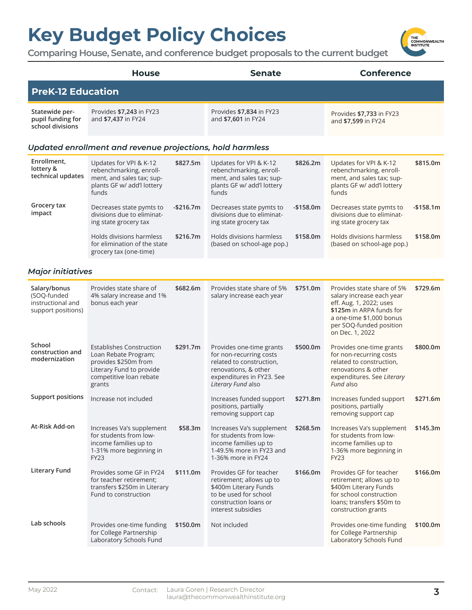

|                                                                        | <b>House</b>                                                                                                                                     |            | <b>Senate</b>                                                                                                                                              |            | <b>Conference</b>                                                                                                                                                                        |            |
|------------------------------------------------------------------------|--------------------------------------------------------------------------------------------------------------------------------------------------|------------|------------------------------------------------------------------------------------------------------------------------------------------------------------|------------|------------------------------------------------------------------------------------------------------------------------------------------------------------------------------------------|------------|
| <b>PreK-12 Education</b>                                               |                                                                                                                                                  |            |                                                                                                                                                            |            |                                                                                                                                                                                          |            |
| Statewide per-<br>pupil funding for<br>school divisions                | Provides \$7,243 in FY23<br>and \$7,437 in FY24                                                                                                  |            | Provides \$7,834 in FY23<br>and \$7,601 in FY24                                                                                                            |            | Provides \$7,733 in FY23<br>and \$7,599 in FY24                                                                                                                                          |            |
|                                                                        | Updated enrollment and revenue projections, hold harmless                                                                                        |            |                                                                                                                                                            |            |                                                                                                                                                                                          |            |
| Enrollment,<br>lottery &<br>technical updates                          | Updates for VPI & K-12<br>rebenchmarking, enroll-<br>ment, and sales tax; sup-<br>plants GF w/ add'l lottery<br>funds                            | \$827.5m   | Updates for VPI & K-12<br>rebenchmarking, enroll-<br>ment, and sales tax; sup-<br>plants GF w/ add'l lottery<br>funds                                      | \$826.2m   | Updates for VPI & K-12<br>rebenchmarking, enroll-<br>ment, and sales tax; sup-<br>plants GF w/ add'l lottery<br>funds                                                                    | \$815.0m   |
| Grocery tax<br>impact                                                  | Decreases state pymts to<br>divisions due to eliminat-<br>ing state grocery tax                                                                  | $-$216.7m$ | Decreases state pymts to<br>divisions due to eliminat-<br>ing state grocery tax                                                                            | $-$158.0m$ | Decreases state pymts to<br>divisions due to eliminat-<br>ing state grocery tax                                                                                                          | $-$158.1m$ |
|                                                                        | Holds divisions harmless<br>for elimination of the state<br>grocery tax (one-time)                                                               | \$216.7m   | Holds divisions harmless<br>(based on school-age pop.)                                                                                                     | \$158.0m   | Holds divisions harmless<br>(based on school-age pop.)                                                                                                                                   | \$158.0m   |
| <b>Major initiatives</b>                                               |                                                                                                                                                  |            |                                                                                                                                                            |            |                                                                                                                                                                                          |            |
| Salary/bonus<br>(SOQ-funded<br>instructional and<br>support positions) | Provides state share of<br>4% salary increase and 1%<br>bonus each year                                                                          | \$682.6m   | Provides state share of 5%<br>salary increase each year                                                                                                    | \$751.0m   | Provides state share of 5%<br>salary increase each year<br>eff. Aug. 1, 2022; uses<br>\$125m in ARPA funds for<br>a one-time \$1,000 bonus<br>per SOQ-funded position<br>on Dec. 1, 2022 | \$729.6m   |
| School<br>construction and<br>modernization                            | <b>Establishes Construction</b><br>Loan Rebate Program;<br>provides \$250m from<br>Literary Fund to provide<br>competitive loan rebate<br>grants | \$291.7m   | Provides one-time grants<br>for non-recurring costs<br>related to construction,<br>renovations, & other<br>expenditures in FY23. See<br>Literary Fund also | \$500.0m   | Provides one-time grants<br>for non-recurring costs<br>related to construction,<br>renovations & other<br>expenditures. See Literary<br>Fund also                                        | \$800.0m   |
| <b>Support positions</b>                                               | Increase not included                                                                                                                            |            | Increases funded support<br>positions, partially<br>removing support cap                                                                                   | \$271.8m   | Increases funded support<br>positions, partially<br>removing support cap                                                                                                                 | \$271.6m   |
| At-Risk Add-on                                                         | Increases Va's supplement<br>for students from low-<br>income families up to<br>1-31% more beginning in<br><b>FY23</b>                           | \$58.3m    | Increases Va's supplement<br>for students from low-<br>income families up to<br>1-49.5% more in FY23 and<br>1-36% more in FY24                             | \$268.5m   | Increases Va's supplement<br>for students from low-<br>income families up to<br>1-36% more beginning in<br><b>FY23</b>                                                                   | \$145.3m   |
| <b>Literary Fund</b>                                                   | Provides some GF in FY24<br>for teacher retirement;<br>transfers \$250m in Literary<br>Fund to construction                                      | \$111.0m   | Provides GF for teacher<br>retirement; allows up to<br>\$400m Literary Funds<br>to be used for school<br>construction loans or<br>interest subsidies       | \$166.0m   | Provides GF for teacher<br>retirement; allows up to<br>\$400m Literary Funds<br>for school construction<br>loans; transfers \$50m to<br>construction grants                              | \$166.0m   |
| Lab schools                                                            | Provides one-time funding<br>for College Partnership<br>Laboratory Schools Fund                                                                  | \$150.0m   | Not included                                                                                                                                               |            | Provides one-time funding<br>for College Partnership<br>Laboratory Schools Fund                                                                                                          | \$100.0m   |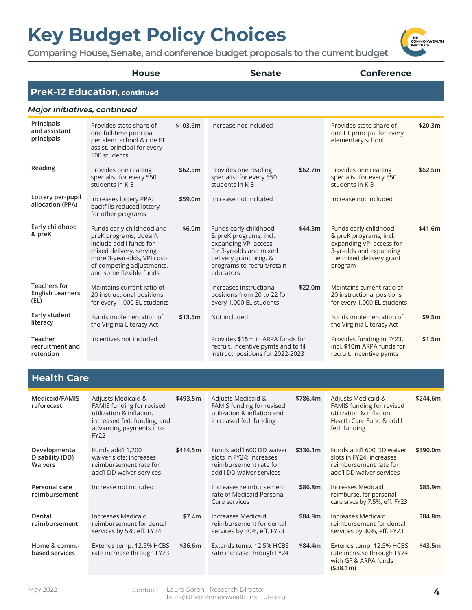**Comparing House, Senate, and conference budget proposals to the current budget**



#### Health Care

| Medicaid/FAMIS<br>reforecast                       | Adjusts Medicaid &<br>FAMIS funding for revised<br>utilization & inflation,<br>increased fed. funding, and<br>advancing payments into<br><b>FY22</b> | \$493.5m | Adjusts Medicaid &<br>FAMIS funding for revised<br>utilization & inflation and<br>increased fed. funding    | \$786.4m | Adjusts Medicaid &<br>FAMIS funding for revised<br>utilization & inflation,<br>Health Care Fund & add'l<br>fed. funding | \$244.6m |
|----------------------------------------------------|------------------------------------------------------------------------------------------------------------------------------------------------------|----------|-------------------------------------------------------------------------------------------------------------|----------|-------------------------------------------------------------------------------------------------------------------------|----------|
| Developmental<br>Disability (DD)<br><b>Waivers</b> | Funds add'l 1,200<br>waiver slots; increases<br>reimbursement rate for<br>add'l DD waiver services                                                   | \$414.5m | Funds add'l 600 DD waiver<br>slots in FY24; increases<br>reimbursement rate for<br>add'l DD waiver services | \$336.1m | Funds add'l 600 DD waiver<br>slots in FY24; increases<br>reimbursement rate for<br>add'l DD waiver services             | \$390.0m |
| Personal care<br>reimbursement                     | Increase not included                                                                                                                                |          | Increases reimbursement<br>rate of Medicaid Personal<br>Care services                                       | \$86.8m  | Increases Medicaid<br>reimburse. for personal<br>care srvcs by 7.5%, eff. FY23                                          | \$85.9m  |
| Dental<br>reimbursement                            | Increases Medicaid<br>reimbursement for dental<br>services by 5%, eff. FY24                                                                          | \$7.4m   | Increases Medicaid<br>reimbursement for dental<br>services by 30%, eff. FY23                                | \$84.8m  | Increases Medicaid<br>reimbursement for dental<br>services by 30%, eff. FY23                                            | \$84.8m  |
| Home & comm.-<br>based services                    | Extends temp. 12.5% HCBS<br>rate increase through FY23                                                                                               | \$36.6m  | Extends temp. 12.5% HCBS<br>rate increase through FY24                                                      | \$84.4m  | Extends temp. 12.5% HCBS<br>rate increase through FY24<br>with GF & ARPA funds<br>( \$38.1m)                            | \$43.5m  |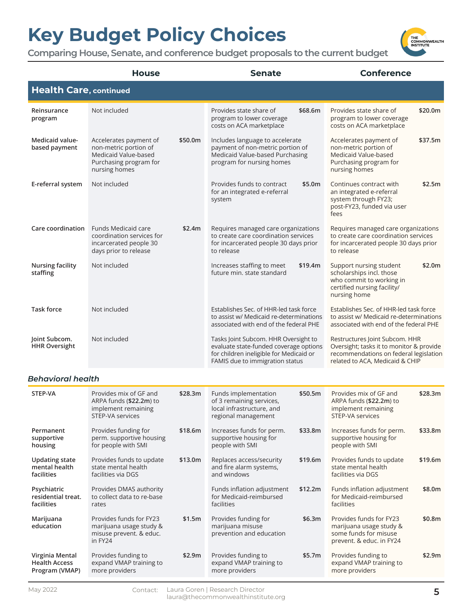

|                                       | <b>House</b>                                                                                                                  | <b>Senate</b>                                                                                                                                                | <b>Conference</b>                                                                                                                                       |
|---------------------------------------|-------------------------------------------------------------------------------------------------------------------------------|--------------------------------------------------------------------------------------------------------------------------------------------------------------|---------------------------------------------------------------------------------------------------------------------------------------------------------|
| <b>Health Care, continued</b>         |                                                                                                                               |                                                                                                                                                              |                                                                                                                                                         |
| Reinsurance<br>program                | Not included                                                                                                                  | Provides state share of<br>\$68.6m<br>program to lower coverage<br>costs on ACA marketplace                                                                  | Provides state share of<br>\$20.0m<br>program to lower coverage<br>costs on ACA marketplace                                                             |
| Medicaid value-<br>based payment      | Accelerates payment of<br>\$50.0m<br>non-metric portion of<br>Medicaid Value-based<br>Purchasing program for<br>nursing homes | Includes language to accelerate<br>payment of non-metric portion of<br>Medicaid Value-based Purchasing<br>program for nursing homes                          | \$37.5m<br>Accelerates payment of<br>non-metric portion of<br>Medicaid Value-based<br>Purchasing program for<br>nursing homes                           |
| E-referral system                     | Not included                                                                                                                  | Provides funds to contract<br>\$5.0m<br>for an integrated e-referral<br>system                                                                               | Continues contract with<br>\$2.5m<br>an integrated e-referral<br>system through FY23;<br>post-FY23, funded via user<br>fees                             |
| Care coordination                     | <b>Funds Medicaid care</b><br>\$2.4m<br>coordination services for<br>incarcerated people 30<br>days prior to release          | Requires managed care organizations<br>to create care coordination services<br>for incarcerated people 30 days prior<br>to release                           | Requires managed care organizations<br>to create care coordination services<br>for incarcerated people 30 days prior<br>to release                      |
| <b>Nursing facility</b><br>staffing   | Not included                                                                                                                  | Increases staffing to meet<br>\$19.4m<br>future min. state standard                                                                                          | \$2.0m<br>Support nursing student<br>scholarships incl. those<br>who commit to working in<br>certified nursing facility/<br>nursing home                |
| <b>Task force</b>                     | Not included                                                                                                                  | Establishes Sec. of HHR-led task force<br>to assist w/ Medicaid re-determinations<br>associated with end of the federal PHE                                  | Establishes Sec. of HHR-led task force<br>to assist w/ Medicaid re-determinations<br>associated with end of the federal PHE                             |
| Joint Subcom.<br><b>HHR Oversight</b> | Not included                                                                                                                  | Tasks Joint Subcom. HHR Oversight to<br>evaluate state-funded coverage options<br>for children ineligible for Medicaid or<br>FAMIS due to immigration status | Restructures Joint Subcom. HHR<br>Oversight; tasks it to monitor & provide<br>recommendations on federal legislation<br>related to ACA, Medicaid & CHIP |
| Behavioral health                     |                                                                                                                               |                                                                                                                                                              |                                                                                                                                                         |

| STEP-VA                                                   | Provides mix of GF and<br>ARPA funds (\$22.2m) to<br>implement remaining<br>STEP-VA services | \$28.3m | Funds implementation<br>of 3 remaining services,<br>local infrastructure, and<br>regional management | \$50.5m | Provides mix of GF and<br>ARPA funds (\$22.2m) to<br>implement remaining<br>STEP-VA services            | \$28.3m |
|-----------------------------------------------------------|----------------------------------------------------------------------------------------------|---------|------------------------------------------------------------------------------------------------------|---------|---------------------------------------------------------------------------------------------------------|---------|
| Permanent<br>supportive<br>housing                        | Provides funding for<br>perm. supportive housing<br>for people with SMI                      | \$18.6m | Increases funds for perm.<br>supportive housing for<br>people with SMI                               | \$33.8m | Increases funds for perm.<br>supportive housing for<br>people with SMI                                  | \$33.8m |
| <b>Updating state</b><br>mental health<br>facilities      | Provides funds to update<br>state mental health<br>facilities via DGS                        | \$13.0m | Replaces access/security<br>and fire alarm systems,<br>and windows                                   | \$19.6m | Provides funds to update<br>state mental health<br>facilities via DGS                                   | \$19.6m |
| Psychiatric<br>residential treat.<br>facilities           | Provides DMAS authority<br>to collect data to re-base<br>rates                               |         | Funds inflation adjustment<br>for Medicaid-reimbursed<br>facilities                                  | \$12.2m | Funds inflation adjustment<br>for Medicaid-reimbursed<br>facilities                                     | \$8.0m  |
| Marijuana<br>education                                    | Provides funds for FY23<br>marijuana usage study &<br>misuse prevent. & educ.<br>in FY24     | \$1.5m  | Provides funding for<br>marijuana misuse<br>prevention and education                                 | \$6.3m  | Provides funds for FY23<br>marijuana usage study &<br>some funds for misuse<br>prevent. & educ. in FY24 | \$0.8m  |
| Virginia Mental<br><b>Health Access</b><br>Program (VMAP) | Provides funding to<br>expand VMAP training to<br>more providers                             | \$2.9m  | Provides funding to<br>expand VMAP training to<br>more providers                                     | \$5.7m  | Provides funding to<br>expand VMAP training to<br>more providers                                        | \$2.9m  |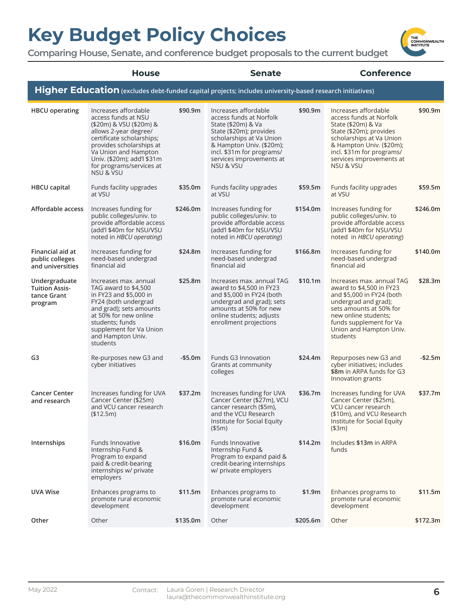**Comparing House, Senate, and conference budget proposals to the current budget**

|                                                                  | <b>House</b>                                                                                                                                                                                                                                                       |          | <b>Senate</b>                                                                                                                                                                                                                  |          | <b>Conference</b>                                                                                                                                                                                                                         |          |
|------------------------------------------------------------------|--------------------------------------------------------------------------------------------------------------------------------------------------------------------------------------------------------------------------------------------------------------------|----------|--------------------------------------------------------------------------------------------------------------------------------------------------------------------------------------------------------------------------------|----------|-------------------------------------------------------------------------------------------------------------------------------------------------------------------------------------------------------------------------------------------|----------|
|                                                                  |                                                                                                                                                                                                                                                                    |          | Higher Education (excludes debt-funded capital projects; includes university-based research initiatives)                                                                                                                       |          |                                                                                                                                                                                                                                           |          |
| <b>HBCU</b> operating                                            | Increases affordable<br>access funds at NSU<br>(\$20m) & VSU (\$20m) &<br>allows 2-year degree/<br>certificate scholarships;<br>provides scholarships at<br>Va Union and Hampton<br>Univ. (\$20m); add'l \$31m<br>for programs/services at<br><b>NSU &amp; VSU</b> | \$90.9m  | Increases affordable<br>access funds at Norfolk<br>State (\$20m) & Va<br>State (\$20m); provides<br>scholarships at Va Union<br>& Hampton Univ. (\$20m);<br>incl. \$31m for programs/<br>services improvements at<br>NSU & VSU | \$90.9m  | Increases affordable<br>access funds at Norfolk<br>State (\$20m) & Va<br>State (\$20m); provides<br>scholarships at Va Union<br>& Hampton Univ. (\$20m);<br>incl. \$31m for programs/<br>services improvements at<br><b>NSU &amp; VSU</b> | \$90.9m  |
| <b>HBCU</b> capital                                              | Funds facility upgrades<br>at VSU                                                                                                                                                                                                                                  | \$35.0m  | Funds facility upgrades<br>at VSU                                                                                                                                                                                              | \$59.5m  | Funds facility upgrades<br>at VSU                                                                                                                                                                                                         | \$59.5m  |
| Affordable access                                                | Increases funding for<br>public colleges/univ. to<br>provide affordable access<br>(add'l \$40m for NSU/VSU<br>noted in HBCU operating)                                                                                                                             | \$246.0m | Increases funding for<br>public colleges/univ. to<br>provide affordable access<br>(add'l \$40m for NSU/VSU<br>noted in HBCU operating)                                                                                         | \$154.0m | Increases funding for<br>public colleges/univ. to<br>provide affordable access<br>(add'l \$40m for NSU/VSU<br>noted in HBCU operating)                                                                                                    | \$246.0m |
| Financial aid at<br>public colleges<br>and universities          | Increases funding for<br>need-based undergrad<br>financial aid                                                                                                                                                                                                     | \$24.8m  | Increases funding for<br>need-based undergrad<br>financial aid                                                                                                                                                                 | \$166.8m | Increases funding for<br>need-based undergrad<br>financial aid                                                                                                                                                                            | \$140.0m |
| Undergraduate<br><b>Tuition Assis-</b><br>tance Grant<br>program | Increases max. annual<br>TAG award to \$4,500<br>in FY23 and \$5,000 in<br>FY24 (both undergrad<br>and grad); sets amounts<br>at 50% for new online<br>students; funds<br>supplement for Va Union<br>and Hampton Univ.<br>students                                 | \$25.8m  | Increases max. annual TAG<br>award to \$4,500 in FY23<br>and \$5,000 in FY24 (both<br>undergrad and grad); sets<br>amounts at 50% for new<br>online students; adjusts<br>enrollment projections                                | \$10.1m  | Increases max. annual TAG<br>award to \$4,500 in FY23<br>and \$5,000 in FY24 (both<br>undergrad and grad);<br>sets amounts at 50% for<br>new online students;<br>funds supplement for Va<br>Union and Hampton Univ.<br>students           | \$28.3m  |
| G3                                                               | Re-purposes new G3 and<br>cyber initiatives                                                                                                                                                                                                                        | $-$5.0m$ | Funds G3 Innovation<br>Grants at community<br>colleges                                                                                                                                                                         | \$24.4m  | Repurposes new G3 and<br>cyber initiatives; includes<br>\$8m in ARPA funds for G3<br>Innovation grants                                                                                                                                    | -\$2.5m  |
| <b>Cancer Center</b><br>and research                             | Increases funding for UVA<br>Cancer Center (\$25m)<br>and VCU cancer research<br>(\$12.5m)                                                                                                                                                                         | \$37.2m  | Increases funding for UVA<br>Cancer Center (\$27m), VCU<br>cancer research (\$5m),<br>and the VCU Research<br>Institute for Social Equity<br>(\$5m)                                                                            | \$36.7m  | Increases funding for UVA<br>Cancer Center (\$25m),<br>VCU cancer research<br>(\$10m), and VCU Research<br>Institute for Social Equity<br>(\$3m)                                                                                          | \$37.7m  |
| Internships                                                      | <b>Funds Innovative</b><br>Internship Fund &<br>Program to expand<br>paid & credit-bearing<br>internships w/ private<br>employers                                                                                                                                  | \$16.0m  | Funds Innovative<br>Internship Fund &<br>Program to expand paid &<br>credit-bearing internships<br>w/ private employers                                                                                                        | \$14.2m  | Includes \$13m in ARPA<br>funds                                                                                                                                                                                                           |          |
| <b>UVA Wise</b>                                                  | Enhances programs to<br>promote rural economic<br>development                                                                                                                                                                                                      | \$11.5m  | Enhances programs to<br>promote rural economic<br>development                                                                                                                                                                  | \$1.9m   | Enhances programs to<br>promote rural economic<br>development                                                                                                                                                                             | \$11.5m  |
| Other                                                            | Other                                                                                                                                                                                                                                                              | \$135.0m | Other                                                                                                                                                                                                                          | \$205.6m | Other                                                                                                                                                                                                                                     | \$172.3m |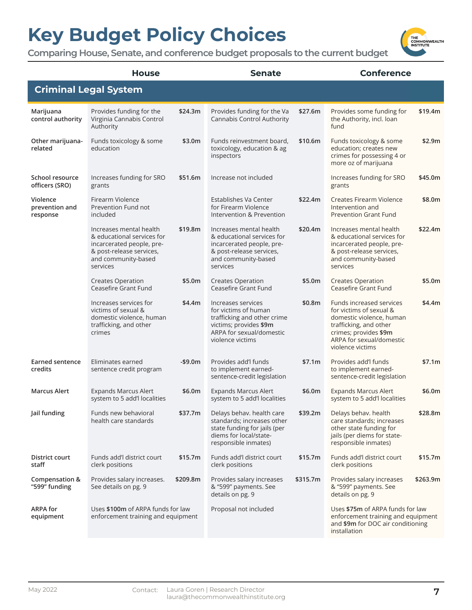

|                                        | <b>House</b>                                                                                                                                      |          | <b>Senate</b>                                                                                                                                       |          | <b>Conference</b>                                                                                                                                                                  |          |
|----------------------------------------|---------------------------------------------------------------------------------------------------------------------------------------------------|----------|-----------------------------------------------------------------------------------------------------------------------------------------------------|----------|------------------------------------------------------------------------------------------------------------------------------------------------------------------------------------|----------|
|                                        | <b>Criminal Legal System</b>                                                                                                                      |          |                                                                                                                                                     |          |                                                                                                                                                                                    |          |
| Marijuana<br>control authority         | Provides funding for the<br>Virginia Cannabis Control<br>Authority                                                                                | \$24.3m  | Provides funding for the Va<br>Cannabis Control Authority                                                                                           | \$27.6m  | Provides some funding for<br>the Authority, incl. loan<br>fund                                                                                                                     | \$19.4m  |
| Other marijuana-<br>related            | Funds toxicology & some<br>education                                                                                                              | \$3.0m   | Funds reinvestment board,<br>toxicology, education & ag<br>inspectors                                                                               | \$10.6m  | Funds toxicology & some<br>education; creates new<br>crimes for possessing 4 or<br>more oz of marijuana                                                                            | \$2.9m   |
| School resource<br>officers (SRO)      | Increases funding for SRO<br>grants                                                                                                               | \$51.6m  | Increase not included                                                                                                                               |          | Increases funding for SRO<br>grants                                                                                                                                                | \$45.0m  |
| Violence<br>prevention and<br>response | Firearm Violence<br>Prevention Fund not<br>included                                                                                               |          | Establishes Va Center<br>for Firearm Violence<br>Intervention & Prevention                                                                          | \$22.4m  | Creates Firearm Violence<br>Intervention and<br><b>Prevention Grant Fund</b>                                                                                                       | \$8.0m   |
|                                        | Increases mental health<br>& educational services for<br>incarcerated people, pre-<br>& post-release services,<br>and community-based<br>services | \$19.8m  | Increases mental health<br>& educational services for<br>incarcerated people, pre-<br>& post-release services,<br>and community-based<br>services   | \$20.4m  | Increases mental health<br>& educational services for<br>incarcerated people, pre-<br>& post-release services,<br>and community-based<br>services                                  | \$22.4m  |
|                                        | Creates Operation<br>Ceasefire Grant Fund                                                                                                         | \$5.0m   | <b>Creates Operation</b><br>Ceasefire Grant Fund                                                                                                    | \$5.0m   | <b>Creates Operation</b><br>Ceasefire Grant Fund                                                                                                                                   | \$5.0m   |
|                                        | Increases services for<br>victims of sexual &<br>domestic violence, human<br>trafficking, and other<br>crimes                                     | \$4.4m   | Increases services<br>for victims of human<br>trafficking and other crime<br>victims; provides \$9m<br>ARPA for sexual/domestic<br>violence victims | \$0.8m   | Funds increased services<br>for victims of sexual &<br>domestic violence, human<br>trafficking, and other<br>crimes; provides \$9m<br>ARPA for sexual/domestic<br>violence victims | \$4.4m   |
| Earned sentence<br>credits             | Eliminates earned<br>sentence credit program                                                                                                      | $-$9.0m$ | Provides add'l funds<br>to implement earned-<br>sentence-credit legislation                                                                         | \$7.1m   | Provides add'l funds<br>to implement earned-<br>sentence-credit legislation                                                                                                        | \$7.1m   |
| <b>Marcus Alert</b>                    | <b>Expands Marcus Alert</b><br>system to 5 add'l localities                                                                                       | \$6.0m   | <b>Expands Marcus Alert</b><br>system to 5 add'l localities                                                                                         | \$6.0m   | <b>Expands Marcus Alert</b><br>system to 5 add'l localities                                                                                                                        | \$6.0m   |
| Jail funding                           | Funds new behavioral<br>health care standards                                                                                                     | \$37.7m  | Delays behav. health care<br>standards; increases other<br>state funding for jails (per<br>diems for local/state-<br>responsible inmates)           | \$39.2m  | Delays behav. health<br>care standards; increases<br>other state funding for<br>jails (per diems for state-<br>responsible inmates)                                                | \$28.8m  |
| District court<br>staff                | Funds add'l district court<br>clerk positions                                                                                                     | \$15.7m  | Funds add'l district court<br>clerk positions                                                                                                       | \$15.7m  | Funds add'l district court<br>clerk positions                                                                                                                                      | \$15.7m  |
| Compensation &<br>"599" funding        | Provides salary increases.<br>See details on pg. 9                                                                                                | \$209.8m | Provides salary increases<br>& "599" payments. See<br>details on pg. 9                                                                              | \$315.7m | Provides salary increases<br>& "599" payments. See<br>details on pg. 9                                                                                                             | \$263.9m |
| <b>ARPA for</b><br>equipment           | Uses \$100m of ARPA funds for law<br>enforcement training and equipment                                                                           |          | Proposal not included                                                                                                                               |          | Uses \$75m of ARPA funds for law<br>enforcement training and equipment<br>and \$9m for DOC air conditioning<br>installation                                                        |          |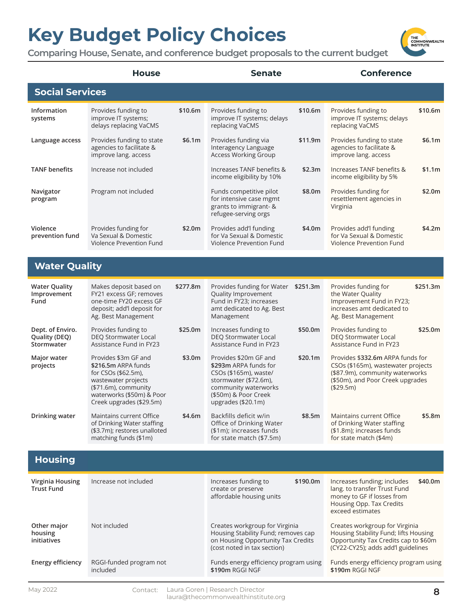

|                                                 | <b>House</b>                                                                                                                                                               |          | <b>Senate</b>                                                                                                                                                          |          | <b>Conference</b>                                                                                                                                          |          |
|-------------------------------------------------|----------------------------------------------------------------------------------------------------------------------------------------------------------------------------|----------|------------------------------------------------------------------------------------------------------------------------------------------------------------------------|----------|------------------------------------------------------------------------------------------------------------------------------------------------------------|----------|
| <b>Social Services</b>                          |                                                                                                                                                                            |          |                                                                                                                                                                        |          |                                                                                                                                                            |          |
| Information<br>systems                          | Provides funding to<br>improve IT systems;<br>delays replacing VaCMS                                                                                                       | \$10.6m  | Provides funding to<br>improve IT systems; delays<br>replacing VaCMS                                                                                                   | \$10.6m  | Provides funding to<br>improve IT systems; delays<br>replacing VaCMS                                                                                       | \$10.6m  |
| Language access                                 | Provides funding to state<br>agencies to facilitate &<br>improve lang. access                                                                                              | \$6.1m   | Provides funding via<br>Interagency Language<br><b>Access Working Group</b>                                                                                            | \$11.9m  | Provides funding to state<br>agencies to facilitate &<br>improve lang. access                                                                              | \$6.1m   |
| <b>TANF benefits</b>                            | Increase not included                                                                                                                                                      |          | Increases TANF benefits &<br>income eligibility by 10%                                                                                                                 | \$2.3m   | Increases TANF benefits &<br>income eligibility by 5%                                                                                                      | \$1.1m   |
| Navigator<br>program                            | Program not included                                                                                                                                                       |          | Funds competitive pilot<br>for intensive case mgmt<br>grants to immigrant- &<br>refugee-serving orgs                                                                   | \$8.0m   | Provides funding for<br>resettlement agencies in<br>Virginia                                                                                               | \$2.0m   |
| Violence<br>prevention fund                     | Provides funding for<br>Va Sexual & Domestic<br>Violence Prevention Fund                                                                                                   | \$2.0m   | Provides add'l funding<br>for Va Sexual & Domestic<br>Violence Prevention Fund                                                                                         | \$4.0m   | Provides add'l funding<br>for Va Sexual & Domestic<br>Violence Prevention Fund                                                                             | \$4.2m   |
| <b>Water Quality</b>                            |                                                                                                                                                                            |          |                                                                                                                                                                        |          |                                                                                                                                                            |          |
| <b>Water Quality</b><br>Improvement<br>Fund     | Makes deposit based on<br>FY21 excess GF; removes<br>one-time FY20 excess GF<br>deposit; add'l deposit for<br>Ag. Best Management                                          | \$277.8m | Provides funding for Water<br>Quality Improvement<br>Fund in FY23; increases<br>amt dedicated to Ag. Best<br>Management                                                | \$251.3m | Provides funding for<br>the Water Quality<br>Improvement Fund in FY23;<br>increases amt dedicated to<br>Ag. Best Management                                | \$251.3m |
| Dept. of Enviro.<br>Quality (DEQ)<br>Stormwater | Provides funding to<br><b>DEQ Stormwater Local</b><br>Assistance Fund in FY23                                                                                              | \$25.0m  | Increases funding to<br>DEQ Stormwater Local<br>Assistance Fund in FY23                                                                                                | \$50.0m  | Provides funding to<br>DEQ Stormwater Local<br>Assistance Fund in FY23                                                                                     | \$25.0m  |
| Major water<br>projects                         | Provides \$3m GF and<br>\$216.5m ARPA funds<br>for CSOs (\$62.5m),<br>wastewater projects<br>(\$71.6m), community<br>waterworks (\$50m) & Poor<br>Creek upgrades (\$29.5m) | \$3.0m   | Provides \$20m GF and<br>\$293m ARPA funds for<br>CSOs (\$165m), waste/<br>stormwater (\$72.6m),<br>community waterworks<br>(\$50m) & Poor Creek<br>upgrades (\$20.1m) | \$20.1m  | Provides \$332.6m ARPA funds for<br>CSOs (\$165m), wastewater projects<br>(\$87.9m), community waterworks<br>(\$50m), and Poor Creek upgrades<br>(\$29.5m) |          |
| Drinking water                                  | Maintains current Office<br>of Drinking Water staffing<br>(\$3.7m); restores unalloted<br>matching funds (\$1m)                                                            | \$4.6m   | Backfills deficit w/in<br>Office of Drinking Water<br>(\$1m); increases funds<br>for state match (\$7.5m)                                                              | \$8.5m   | Maintains current Office<br>of Drinking Water staffing<br>(\$1.8m); increases funds<br>for state match (\$4m)                                              | \$5.8m   |
| <b>Housing</b>                                  |                                                                                                                                                                            |          |                                                                                                                                                                        |          |                                                                                                                                                            |          |
| Virginia Housing<br><b>Trust Fund</b>           | Increase not included                                                                                                                                                      |          | Increases funding to<br>create or preserve<br>affordable housing units                                                                                                 | \$190.0m | Increases funding; includes<br>lang. to transfer Trust Fund<br>money to GF if losses from<br>Housing Opp. Tax Credits<br>exceed estimates                  | \$40.0m  |
| Other major<br>housing<br>initiatives           | Not included                                                                                                                                                               |          | Creates workgroup for Virginia<br>Housing Stability Fund; removes cap<br>on Housing Opportunity Tax Credits<br>(cost noted in tax section)                             |          | Creates workgroup for Virginia<br>Housing Stability Fund; lifts Housing<br>Opportunity Tax Credits cap to \$60m<br>(CY22-CY25); adds add'l guidelines      |          |
| <b>Energy efficiency</b>                        | RGGI-funded program not<br>included                                                                                                                                        |          | Funds energy efficiency program using<br>\$190m RGGI NGF                                                                                                               |          | Funds energy efficiency program using<br>\$190m RGGI NGF                                                                                                   |          |
|                                                 |                                                                                                                                                                            |          |                                                                                                                                                                        |          |                                                                                                                                                            |          |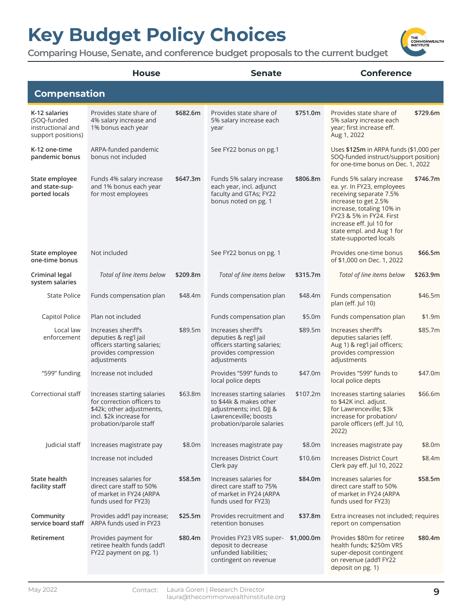**Comparing House, Senate, and conference budget proposals to the current budget**

House Senate Conference